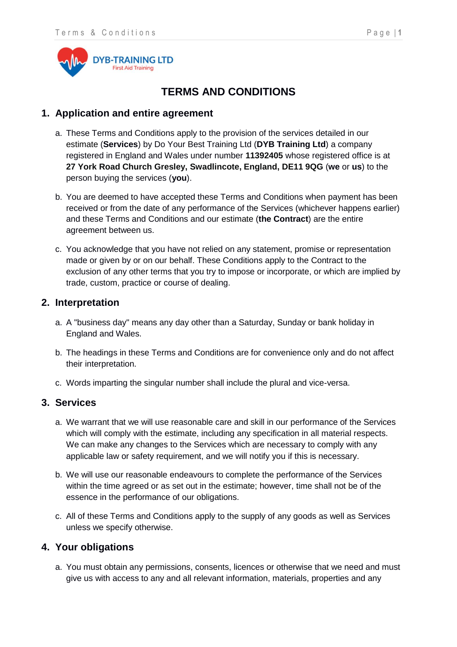

# **TERMS AND CONDITIONS**

# **1. Application and entire agreement**

- a. These Terms and Conditions apply to the provision of the services detailed in our estimate (**Services**) by Do Your Best Training Ltd (**DYB Training Ltd**) a company registered in England and Wales under number **11392405** whose registered office is at **27 York Road Church Gresley, Swadlincote, England, DE11 9QG** (**we** or **us**) to the person buying the services (**you**).
- b. You are deemed to have accepted these Terms and Conditions when payment has been received or from the date of any performance of the Services (whichever happens earlier) and these Terms and Conditions and our estimate (**the Contract**) are the entire agreement between us.
- c. You acknowledge that you have not relied on any statement, promise or representation made or given by or on our behalf. These Conditions apply to the Contract to the exclusion of any other terms that you try to impose or incorporate, or which are implied by trade, custom, practice or course of dealing.

## **2. Interpretation**

- a. A "business day" means any day other than a Saturday, Sunday or bank holiday in England and Wales.
- b. The headings in these Terms and Conditions are for convenience only and do not affect their interpretation.
- c. Words imparting the singular number shall include the plural and vice-versa.

# **3. Services**

- a. We warrant that we will use reasonable care and skill in our performance of the Services which will comply with the estimate, including any specification in all material respects. We can make any changes to the Services which are necessary to comply with any applicable law or safety requirement, and we will notify you if this is necessary.
- b. We will use our reasonable endeavours to complete the performance of the Services within the time agreed or as set out in the estimate; however, time shall not be of the essence in the performance of our obligations.
- c. All of these Terms and Conditions apply to the supply of any goods as well as Services unless we specify otherwise.

#### **4. Your obligations**

a. You must obtain any permissions, consents, licences or otherwise that we need and must give us with access to any and all relevant information, materials, properties and any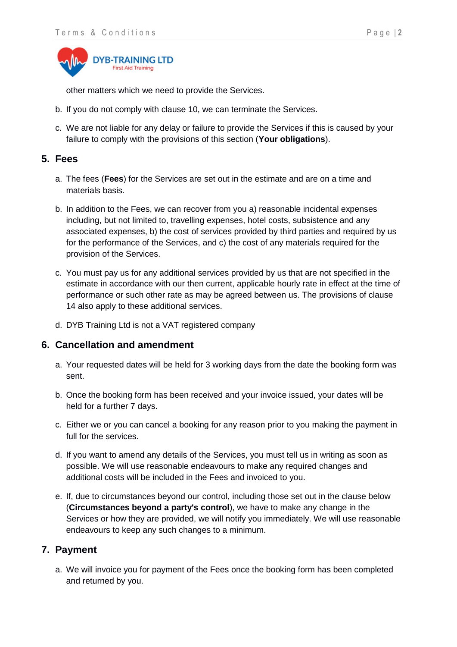

other matters which we need to provide the Services.

- b. If you do not comply with clause 10, we can terminate the Services.
- c. We are not liable for any delay or failure to provide the Services if this is caused by your failure to comply with the provisions of this section (**Your obligations**).

# **5. Fees**

- a. The fees (**Fees**) for the Services are set out in the estimate and are on a time and materials basis.
- b. In addition to the Fees, we can recover from you a) reasonable incidental expenses including, but not limited to, travelling expenses, hotel costs, subsistence and any associated expenses, b) the cost of services provided by third parties and required by us for the performance of the Services, and c) the cost of any materials required for the provision of the Services.
- c. You must pay us for any additional services provided by us that are not specified in the estimate in accordance with our then current, applicable hourly rate in effect at the time of performance or such other rate as may be agreed between us. The provisions of clause 14 also apply to these additional services.
- d. DYB Training Ltd is not a VAT registered company

# **6. Cancellation and amendment**

- a. Your requested dates will be held for 3 working days from the date the booking form was sent.
- b. Once the booking form has been received and your invoice issued, your dates will be held for a further 7 days.
- c. Either we or you can cancel a booking for any reason prior to you making the payment in full for the services.
- d. If you want to amend any details of the Services, you must tell us in writing as soon as possible. We will use reasonable endeavours to make any required changes and additional costs will be included in the Fees and invoiced to you.
- e. If, due to circumstances beyond our control, including those set out in the clause below (**Circumstances beyond a party's control**), we have to make any change in the Services or how they are provided, we will notify you immediately. We will use reasonable endeavours to keep any such changes to a minimum.

# **7. Payment**

a. We will invoice you for payment of the Fees once the booking form has been completed and returned by you.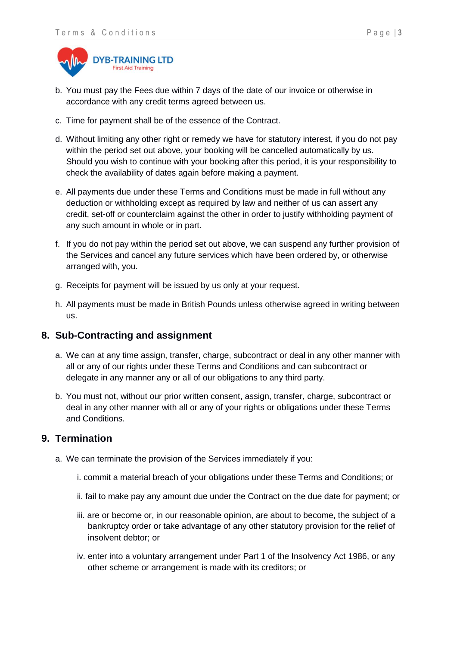

- b. You must pay the Fees due within 7 days of the date of our invoice or otherwise in accordance with any credit terms agreed between us.
- c. Time for payment shall be of the essence of the Contract.
- d. Without limiting any other right or remedy we have for statutory interest, if you do not pay within the period set out above, your booking will be cancelled automatically by us. Should you wish to continue with your booking after this period, it is your responsibility to check the availability of dates again before making a payment.
- e. All payments due under these Terms and Conditions must be made in full without any deduction or withholding except as required by law and neither of us can assert any credit, set-off or counterclaim against the other in order to justify withholding payment of any such amount in whole or in part.
- f. If you do not pay within the period set out above, we can suspend any further provision of the Services and cancel any future services which have been ordered by, or otherwise arranged with, you.
- g. Receipts for payment will be issued by us only at your request.
- h. All payments must be made in British Pounds unless otherwise agreed in writing between us.

#### **8. Sub-Contracting and assignment**

- a. We can at any time assign, transfer, charge, subcontract or deal in any other manner with all or any of our rights under these Terms and Conditions and can subcontract or delegate in any manner any or all of our obligations to any third party.
- b. You must not, without our prior written consent, assign, transfer, charge, subcontract or deal in any other manner with all or any of your rights or obligations under these Terms and Conditions.

#### **9. Termination**

- a. We can terminate the provision of the Services immediately if you:
	- i. commit a material breach of your obligations under these Terms and Conditions; or
	- ii. fail to make pay any amount due under the Contract on the due date for payment; or
	- iii. are or become or, in our reasonable opinion, are about to become, the subject of a bankruptcy order or take advantage of any other statutory provision for the relief of insolvent debtor; or
	- iv. enter into a voluntary arrangement under Part 1 of the Insolvency Act 1986, or any other scheme or arrangement is made with its creditors; or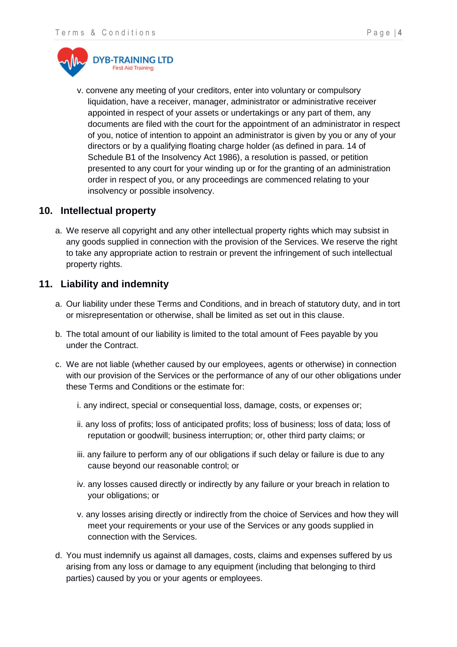

v. convene any meeting of your creditors, enter into voluntary or compulsory liquidation, have a receiver, manager, administrator or administrative receiver appointed in respect of your assets or undertakings or any part of them, any documents are filed with the court for the appointment of an administrator in respect of you, notice of intention to appoint an administrator is given by you or any of your directors or by a qualifying floating charge holder (as defined in para. 14 of Schedule B1 of the Insolvency Act 1986), a resolution is passed, or petition presented to any court for your winding up or for the granting of an administration order in respect of you, or any proceedings are commenced relating to your insolvency or possible insolvency.

#### **10. Intellectual property**

a. We reserve all copyright and any other intellectual property rights which may subsist in any goods supplied in connection with the provision of the Services. We reserve the right to take any appropriate action to restrain or prevent the infringement of such intellectual property rights.

#### **11. Liability and indemnity**

- a. Our liability under these Terms and Conditions, and in breach of statutory duty, and in tort or misrepresentation or otherwise, shall be limited as set out in this clause.
- b. The total amount of our liability is limited to the total amount of Fees payable by you under the Contract.
- c. We are not liable (whether caused by our employees, agents or otherwise) in connection with our provision of the Services or the performance of any of our other obligations under these Terms and Conditions or the estimate for:
	- i. any indirect, special or consequential loss, damage, costs, or expenses or;
	- ii. any loss of profits; loss of anticipated profits; loss of business; loss of data; loss of reputation or goodwill; business interruption; or, other third party claims; or
	- iii. any failure to perform any of our obligations if such delay or failure is due to any cause beyond our reasonable control; or
	- iv. any losses caused directly or indirectly by any failure or your breach in relation to your obligations; or
	- v. any losses arising directly or indirectly from the choice of Services and how they will meet your requirements or your use of the Services or any goods supplied in connection with the Services.
- d. You must indemnify us against all damages, costs, claims and expenses suffered by us arising from any loss or damage to any equipment (including that belonging to third parties) caused by you or your agents or employees.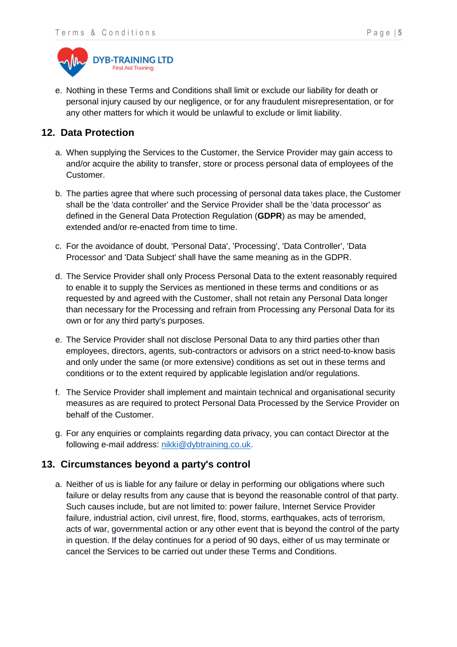

e. Nothing in these Terms and Conditions shall limit or exclude our liability for death or personal injury caused by our negligence, or for any fraudulent misrepresentation, or for any other matters for which it would be unlawful to exclude or limit liability.

# **12. Data Protection**

- a. When supplying the Services to the Customer, the Service Provider may gain access to and/or acquire the ability to transfer, store or process personal data of employees of the Customer.
- b. The parties agree that where such processing of personal data takes place, the Customer shall be the 'data controller' and the Service Provider shall be the 'data processor' as defined in the General Data Protection Regulation (**GDPR**) as may be amended, extended and/or re-enacted from time to time.
- c. For the avoidance of doubt, 'Personal Data', 'Processing', 'Data Controller', 'Data Processor' and 'Data Subject' shall have the same meaning as in the GDPR.
- d. The Service Provider shall only Process Personal Data to the extent reasonably required to enable it to supply the Services as mentioned in these terms and conditions or as requested by and agreed with the Customer, shall not retain any Personal Data longer than necessary for the Processing and refrain from Processing any Personal Data for its own or for any third party's purposes.
- e. The Service Provider shall not disclose Personal Data to any third parties other than employees, directors, agents, sub-contractors or advisors on a strict need-to-know basis and only under the same (or more extensive) conditions as set out in these terms and conditions or to the extent required by applicable legislation and/or regulations.
- f. The Service Provider shall implement and maintain technical and organisational security measures as are required to protect Personal Data Processed by the Service Provider on behalf of the Customer.
- g. For any enquiries or complaints regarding data privacy, you can contact Director at the following e-mail address: [nikki@dybtraining.co.uk.](mailto:nikki@dybtraining.co.uk)

# **13. Circumstances beyond a party's control**

a. Neither of us is liable for any failure or delay in performing our obligations where such failure or delay results from any cause that is beyond the reasonable control of that party. Such causes include, but are not limited to: power failure, Internet Service Provider failure, industrial action, civil unrest, fire, flood, storms, earthquakes, acts of terrorism, acts of war, governmental action or any other event that is beyond the control of the party in question. If the delay continues for a period of 90 days, either of us may terminate or cancel the Services to be carried out under these Terms and Conditions.